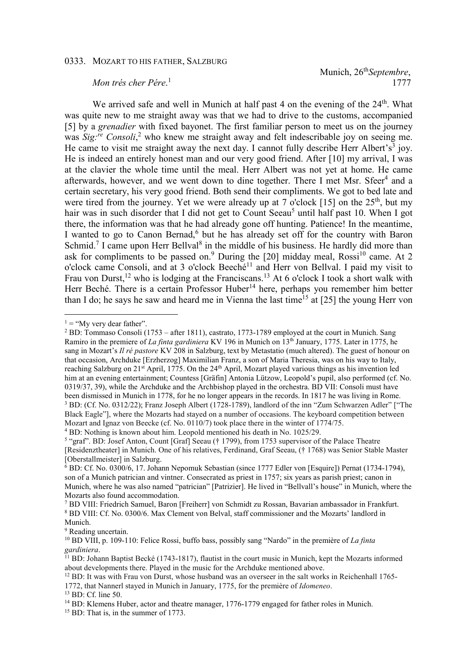## Munich, 26th*Septembre*, 1777

## *Mon trés cher Pére*. 1

We arrived safe and well in Munich at half past 4 on the evening of the 24<sup>th</sup>. What was quite new to me straight away was that we had to drive to the customs, accompanied [5] by a *grenadier* with fixed bayonet. The first familiar person to meet us on the journey was *Sig:re Consoli*, 2 who knew me straight away and felt indescribable joy on seeing me. He came to visit me straight away the next day. I cannot fully describe Herr Albert's<sup>3</sup> joy. He is indeed an entirely honest man and our very good friend. After [10] my arrival, I was at the clavier the whole time until the meal. Herr Albert was not yet at home. He came afterwards, however, and we went down to dine together. There I met Msr. Sfeer<sup>4</sup> and a certain secretary, his very good friend. Both send their compliments. We got to bed late and were tired from the journey. Yet we were already up at 7 o'clock [15] on the  $25<sup>th</sup>$ , but my hair was in such disorder that I did not get to Count Seeau<sup>5</sup> until half past 10. When I got there, the information was that he had already gone off hunting. Patience! In the meantime, I wanted to go to Canon Bernad,<sup>6</sup> but he has already set off for the country with Baron Schmid.<sup>7</sup> I came upon Herr Bellval<sup>8</sup> in the middle of his business. He hardly did more than ask for compliments to be passed on.<sup>9</sup> During the [20] midday meal, Rossi<sup>10</sup> came. At 2 o'clock came Consoli, and at 3 o'clock Beeché<sup>11</sup> and Herr von Bellval. I paid my visit to Frau von Durst,<sup>12</sup> who is lodging at the Franciscans.<sup>13</sup> At 6 o'clock I took a short walk with Herr Beché. There is a certain Professor Huber<sup>14</sup> here, perhaps you remember him better than I do; he says he saw and heard me in Vienna the last time<sup>15</sup> at [25] the young Herr von

 $\overline{a}$  $1 =$  "My very dear father".

 $2$  BD: Tommaso Consoli (1753 – after 1811), castrato, 1773-1789 employed at the court in Munich. Sang Ramiro in the premiere of *La finta gardiniera* KV 196 in Munich on 13th January, 1775. Later in 1775, he sang in Mozart's *Il ré pastore* KV 208 in Salzburg, text by Metastatio (much altered). The guest of honour on that occasion, Archduke [Erzherzog] Maximilian Franz, a son of Maria Theresia, was on his way to Italy, reaching Salzburg on  $21<sup>st</sup>$  April, 1775. On the  $24<sup>th</sup>$  April, Mozart played various things as his invention led him at an evening entertainment; Countess [Gräfin] Antonia Lützow, Leopold's pupil, also performed (cf. No. 0319/37, 39), while the Archduke and the Archbishop played in the orchestra. BD VII: Consoli must have been dismissed in Munich in 1778, for he no longer appears in the records. In 1817 he was living in Rome. <sup>3</sup> BD: (Cf. No. 0312/22); Franz Joseph Albert (1728-1789), landlord of the inn "Zum Schwarzen Adler" ["The Black Eagle"], where the Mozarts had stayed on a number of occasions. The keyboard competition between Mozart and Ignaz von Beecke (cf. No. 0110/7) took place there in the winter of 1774/75.

<sup>&</sup>lt;sup>4</sup> BD: Nothing is known about him. Leopold mentioned his death in No. 1025/29.

<sup>&</sup>lt;sup>5</sup> "graf". BD: Josef Anton, Count [Graf] Seeau († 1799), from 1753 supervisor of the Palace Theatre [Residenztheater] in Munich. One of his relatives, Ferdinand, Graf Seeau, († 1768) was Senior Stable Master [Oberstallmeister] in Salzburg.

<sup>&</sup>lt;sup>6</sup> BD: Cf. No. 0300/6, 17. Johann Nepomuk Sebastian (since 1777 Edler von [Esquire]) Pernat (1734-1794), son of a Munich patrician and vintner. Consecrated as priest in 1757; six years as parish priest; canon in Munich, where he was also named "patrician" [Patrizier]. He lived in "Bellvall's house" in Munich, where the Mozarts also found accommodation.

<sup>7</sup> BD VIII: Friedrich Samuel, Baron [Freiherr] von Schmidt zu Rossan, Bavarian ambassador in Frankfurt. <sup>8</sup> BD VIII: Cf. No. 0300/6. Max Clement von Belval, staff commissioner and the Mozarts' landlord in Munich.

<sup>&</sup>lt;sup>9</sup> Reading uncertain.

<sup>10</sup> BD VIII, p. 109-110: Felice Rossi, buffo bass, possibly sang "Nardo" in the première of *La finta gardiniera*.

<sup>&</sup>lt;sup>11</sup> BD: Johann Baptist Becké (1743-1817), flautist in the court music in Munich, kept the Mozarts informed about developments there. Played in the music for the Archduke mentioned above.

<sup>&</sup>lt;sup>12</sup> BD: It was with Frau von Durst, whose husband was an overseer in the salt works in Reichenhall 1765-

<sup>1772,</sup> that Nannerl stayed in Munich in January, 1775, for the première of *Idomeneo*.

<sup>13</sup> BD: Cf. line 50.

<sup>&</sup>lt;sup>14</sup> BD: Klemens Huber, actor and theatre manager, 1776-1779 engaged for father roles in Munich.

<sup>&</sup>lt;sup>15</sup> BD: That is, in the summer of 1773.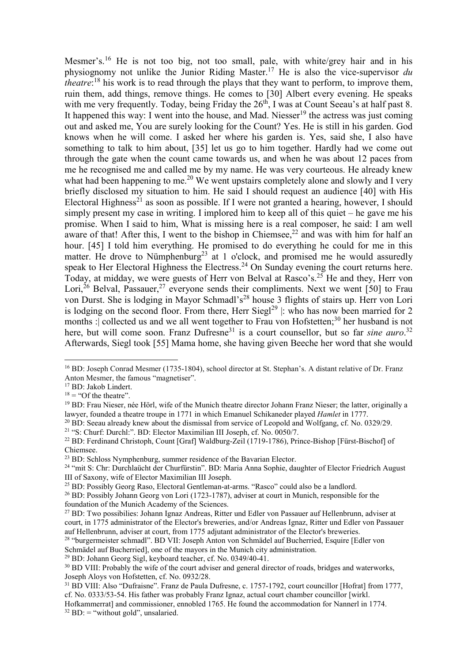Mesmer's.<sup>16</sup> He is not too big, not too small, pale, with white/grey hair and in his physiognomy not unlike the Junior Riding Master.<sup>17</sup> He is also the vice-supervisor *du theatre*: <sup>18</sup> his work is to read through the plays that they want to perform, to improve them, ruin them, add things, remove things. He comes to [30] Albert every evening. He speaks with me very frequently. Today, being Friday the  $26<sup>th</sup>$ , I was at Count Seeau's at half past 8. It happened this way: I went into the house, and Mad. Niesser<sup>19</sup> the actress was just coming out and asked me, You are surely looking for the Count? Yes. He is still in his garden. God knows when he will come. I asked her where his garden is. Yes, said she, I also have something to talk to him about, [35] let us go to him together. Hardly had we come out through the gate when the count came towards us, and when he was about 12 paces from me he recognised me and called me by my name. He was very courteous. He already knew what had been happening to me.<sup>20</sup> We went upstairs completely alone and slowly and I very briefly disclosed my situation to him. He said I should request an audience [40] with His Electoral Highness<sup>21</sup> as soon as possible. If I were not granted a hearing, however, I should simply present my case in writing. I implored him to keep all of this quiet – he gave me his promise. When I said to him, What is missing here is a real composer, he said: I am well aware of that! After this, I went to the bishop in Chiemsee,<sup>22</sup> and was with him for half an hour. [45] I told him everything. He promised to do everything he could for me in this matter. He drove to Nümphenburg<sup>23</sup> at 1 o'clock, and promised me he would assuredly speak to Her Electoral Highness the Electress.<sup>24</sup> On Sunday evening the court returns here. Today, at midday, we were guests of Herr von Belval at Rasco's.<sup>25</sup> He and they, Herr von Lori,<sup>26</sup> Belval, Passauer,<sup>27</sup> everyone sends their compliments. Next we went [50] to Frau von Durst. She is lodging in Mayor Schmadl's<sup>28</sup> house 3 flights of stairs up. Herr von Lori is lodging on the second floor. From there, Herr Siegl<sup>29</sup>  $|$ : who has now been married for 2 months : collected us and we all went together to Frau von Hofstetten;<sup>30</sup> her husband is not here, but will come soon. Franz Dufresne<sup>31</sup> is a court counsellor, but so far *sine auro*.<sup>32</sup> Afterwards, Siegl took [55] Mama home, she having given Beeche her word that she would

 $\overline{a}$ 

<sup>21</sup> "S: Churf: Durchl:". BD: Elector Maximilian III Joseph, cf. No. 0050/7.

<sup>&</sup>lt;sup>16</sup> BD: Joseph Conrad Mesmer (1735-1804), school director at St. Stephan's. A distant relative of Dr. Franz Anton Mesmer, the famous "magnetiser".

<sup>&</sup>lt;sup>17</sup> BD: Jakob Lindert.

 $18 =$  "Of the theatre".

<sup>&</sup>lt;sup>19</sup> BD: Frau Nieser, née Hörl, wife of the Munich theatre director Johann Franz Nieser; the latter, originally a lawyer, founded a theatre troupe in 1771 in which Emanuel Schikaneder played *Hamlet* in 1777.

<sup>&</sup>lt;sup>20</sup> BD: Seeau already knew about the dismissal from service of Leopold and Wolfgang, cf. No. 0329/29.

<sup>&</sup>lt;sup>22</sup> BD: Ferdinand Christoph, Count [Graf] Waldburg-Zeil (1719-1786), Prince-Bishop [Fürst-Bischof] of Chiemsee.

<sup>&</sup>lt;sup>23</sup> BD: Schloss Nymphenburg, summer residence of the Bavarian Elector.

<sup>&</sup>lt;sup>24</sup> "mit S: Chr: Durchlaücht der Churfürstin". BD: Maria Anna Sophie, daughter of Elector Friedrich August III of Saxony, wife of Elector Maximilian III Joseph.

<sup>25</sup> BD: Possibly Georg Raso, Electoral Gentleman-at-arms. "Rasco" could also be a landlord.

<sup>&</sup>lt;sup>26</sup> BD: Possibly Johann Georg von Lori (1723-1787), adviser at court in Munich, responsible for the foundation of the Munich Academy of the Sciences.

<sup>27</sup> BD: Two possibilies: Johann Ignaz Andreas, Ritter und Edler von Passauer auf Hellenbrunn, adviser at court, in 1775 administrator of the Elector's breweries, and/or Andreas Ignaz, Ritter und Edler von Passauer auf Hellenbrunn, adviser at court, from 1775 adjutant administrator of the Elector's breweries.

<sup>&</sup>lt;sup>28</sup> "burgermeister schmadl". BD VII: Joseph Anton von Schmädel auf Bucherried, Esquire [Edler von Schmädel auf Bucherried], one of the mayors in the Munich city administration.

<sup>29</sup> BD: Johann Georg Sigl, keyboard teacher, cf. No. 0349/40-41.

<sup>&</sup>lt;sup>30</sup> BD VIII: Probably the wife of the court adviser and general director of roads, bridges and waterworks, Joseph Aloys von Hofstetten, cf. No. 0932/28.

<sup>31</sup> BD VIII: Also "Dufraisne". Franz de Paula Dufresne, c. 1757-1792, court councillor [Hofrat] from 1777, cf. No. 0333/53-54. His father was probably Franz Ignaz, actual court chamber councillor [wirkl.

Hofkammerrat] and commissioner, ennobled 1765. He found the accommodation for Nannerl in 1774.  $32$  BD:  $=$  "without gold", unsalaried.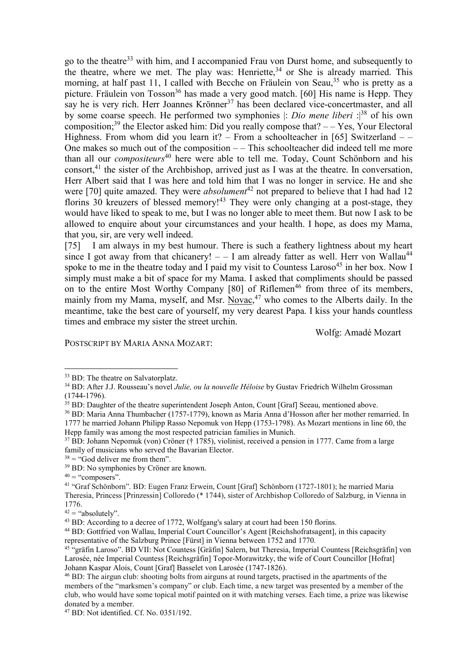go to the theatre<sup>33</sup> with him, and I accompanied Frau von Durst home, and subsequently to the theatre, where we met. The play was: Henriette,  $34$  or She is already married. This morning, at half past 11, I called with Becche on Fräulein von Seau,<sup>35</sup> who is pretty as a picture. Fräulein von Tosson<sup>36</sup> has made a very good match. [60] His name is Hepp. They say he is very rich. Herr Joannes Krönner<sup>37</sup> has been declared vice-concertmaster, and all by some coarse speech. He performed two symphonies |: *Dio mene liberi* :|<sup>38</sup> of his own composition;<sup>39</sup> the Elector asked him: Did you really compose that?  $-$  Yes, Your Electoral Highness. From whom did you learn it? – From a schoolteacher in [65] Switzerland – – One makes so much out of the composition  $-\frac{1}{n}$  – This schoolteacher did indeed tell me more than all our *compositeurs*<sup>40</sup> here were able to tell me. Today, Count Schönborn and his consort,<sup>41</sup> the sister of the Archbishop, arrived just as I was at the theatre. In conversation, Herr Albert said that I was here and told him that I was no longer in service. He and she were [70] quite amazed. They were *absolument*<sup>42</sup> not prepared to believe that I had had 12 florins 30 kreuzers of blessed memory!<sup>43</sup> They were only changing at a post-stage, they would have liked to speak to me, but I was no longer able to meet them. But now I ask to be allowed to enquire about your circumstances and your health. I hope, as does my Mama, that you, sir, are very well indeed.

[75] I am always in my best humour. There is such a feathery lightness about my heart since I got away from that chicanery!  $-$  I am already fatter as well. Herr von Wallau<sup>44</sup> spoke to me in the theatre today and I paid my visit to Countess Laroso<sup>45</sup> in her box. Now I simply must make a bit of space for my Mama. I asked that compliments should be passed on to the entire Most Worthy Company  $[80]$  of Riflemen<sup>46</sup> from three of its members, mainly from my Mama, myself, and Msr.  $Novac<sub>1</sub><sup>47</sup>$  who comes to the Alberts daily. In the meantime, take the best care of yourself, my very dearest Papa. I kiss your hands countless times and embrace my sister the street urchin.

Wolfg: Amadé Mozart

POSTSCRIPT BY MARIA ANNA MOZART:

 $\overline{a}$ 

<sup>&</sup>lt;sup>33</sup> BD: The theatre on Salvatorplatz.

<sup>34</sup> BD: After J.J. Rousseau's novel *Julie, ou la nouvelle Héloise* by Gustav Friedrich Wilhelm Grossman (1744-1796).

<sup>&</sup>lt;sup>35</sup> BD: Daughter of the theatre superintendent Joseph Anton, Count [Graf] Seeau, mentioned above.

<sup>36</sup> BD: Maria Anna Thumbacher (1757-1779), known as Maria Anna d'Hosson after her mother remarried. In 1777 he married Johann Philipp Rasso Nepomuk von Hepp (1753-1798). As Mozart mentions in line 60, the Hepp family was among the most respected patrician families in Munich.

<sup>37</sup> BD: Johann Nepomuk (von) Cröner († 1785), violinist, received a pension in 1777. Came from a large family of musicians who served the Bavarian Elector.

 $38 =$  "God deliver me from them".

<sup>39</sup> BD: No symphonies by Cröner are known.

 $40 =$  "composers".

<sup>41</sup> "Graf Schönborn". BD: Eugen Franz Erwein, Count [Graf] Schönborn (1727-1801); he married Maria Theresia, Princess [Prinzessin] Colloredo (\* 1744), sister of Archbishop Colloredo of Salzburg, in Vienna in 1776.

 $42 =$  "absolutely".

<sup>43</sup> BD: According to a decree of 1772, Wolfgang's salary at court had been 150 florins.

<sup>44</sup> BD: Gottfried von Wallau, Imperial Court Councillor's Agent [Reichshofratsagent], in this capacity representative of the Salzburg Prince [Fürst] in Vienna between 1752 and 1770.

<sup>45</sup> "gräfin Laroso". BD VII: Not Countess [Gräfin] Salern, but Theresia, Imperial Countess [Reichsgräfin] von Larosée, née Imperial Countess [Reichsgräfin] Topor-Morawitzky, the wife of Court Councillor [Hofrat] Johann Kaspar Alois, Count [Graf] Basselet von Larosée (1747-1826).

<sup>46</sup> BD: The airgun club: shooting bolts from airguns at round targets, practised in the apartments of the members of the "marksmen's company" or club. Each time, a new target was presented by a member of the club, who would have some topical motif painted on it with matching verses. Each time, a prize was likewise donated by a member.

<sup>47</sup> BD: Not identified. Cf. No. 0351/192.